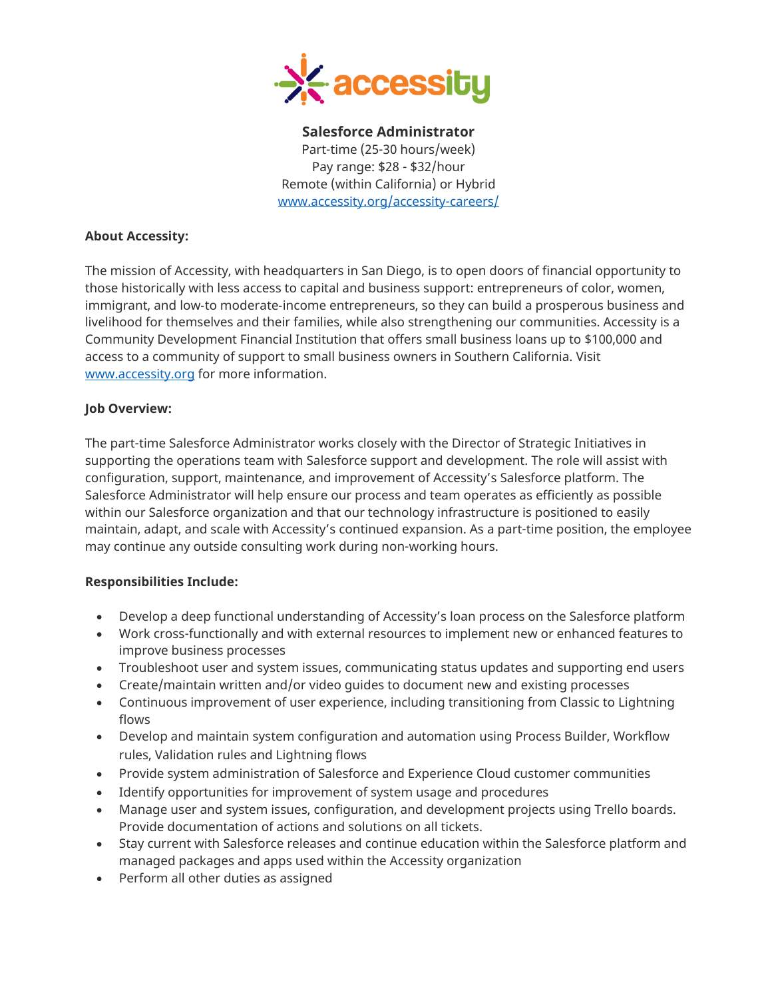

**Salesforce Administrator**  Part-time (25-30 hours/week) Pay range: \$28 - \$32/hour Remote (within California) or Hybrid [www.accessity.org/accessity-careers/](http://www.accessity.org/accessity-careers/)

#### **About Accessity:**

The mission of Accessity, with headquarters in San Diego, is to open doors of financial opportunity to those historically with less access to capital and business support: entrepreneurs of color, women, immigrant, and low‐to moderate‐income entrepreneurs, so they can build a prosperous business and livelihood for themselves and their families, while also strengthening our communities. Accessity is a Community Development Financial Institution that offers small business loans up to \$100,000 and access to a community of support to small business owners in Southern California. Visit [www.accessity.org](http://www.accessity.org/) for more information.

#### **Job Overview:**

The part-time Salesforce Administrator works closely with the Director of Strategic Initiatives in supporting the operations team with Salesforce support and development. The role will assist with configuration, support, maintenance, and improvement of Accessity's Salesforce platform. The Salesforce Administrator will help ensure our process and team operates as efficiently as possible within our Salesforce organization and that our technology infrastructure is positioned to easily maintain, adapt, and scale with Accessity's continued expansion. As a part-time position, the employee may continue any outside consulting work during non-working hours.

#### **Responsibilities Include:**

- Develop a deep functional understanding of Accessity's loan process on the Salesforce platform
- Work cross-functionally and with external resources to implement new or enhanced features to improve business processes
- Troubleshoot user and system issues, communicating status updates and supporting end users
- Create/maintain written and/or video guides to document new and existing processes
- Continuous improvement of user experience, including transitioning from Classic to Lightning flows
- Develop and maintain system configuration and automation using Process Builder, Workflow rules, Validation rules and Lightning flows
- Provide system administration of Salesforce and Experience Cloud customer communities
- Identify opportunities for improvement of system usage and procedures
- Manage user and system issues, configuration, and development projects using Trello boards. Provide documentation of actions and solutions on all tickets.
- Stay current with Salesforce releases and continue education within the Salesforce platform and managed packages and apps used within the Accessity organization
- Perform all other duties as assigned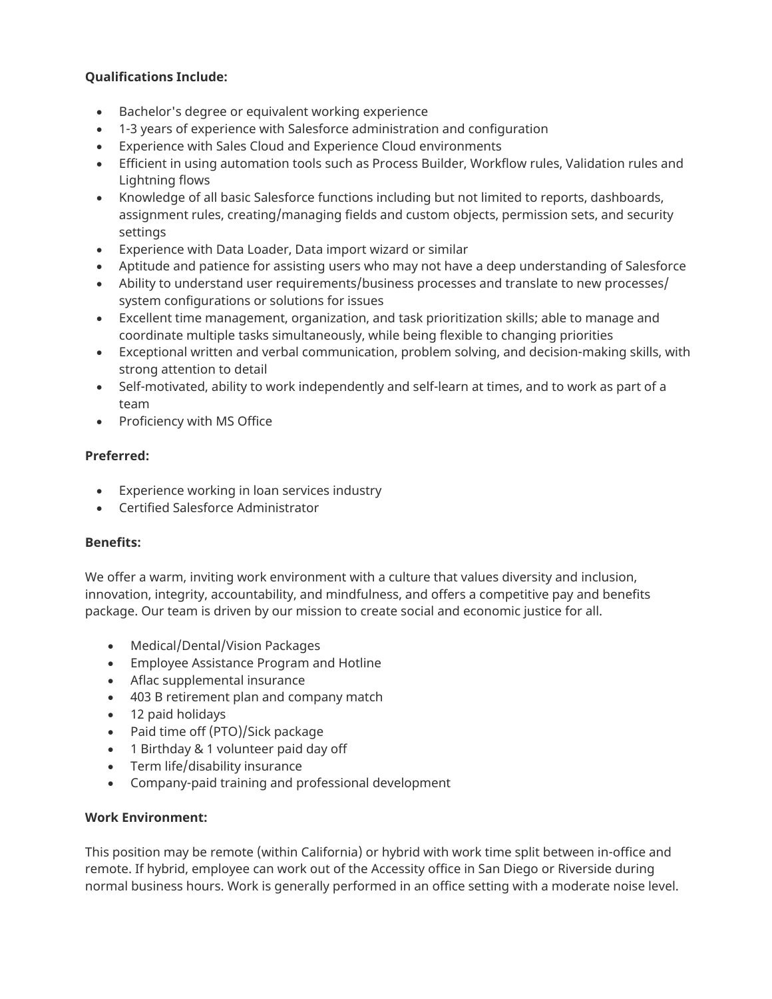# **Qualifications Include:**

- Bachelor's degree or equivalent working experience
- 1-3 years of experience with Salesforce administration and configuration
- Experience with Sales Cloud and Experience Cloud environments
- Efficient in using automation tools such as Process Builder, Workflow rules, Validation rules and Lightning flows
- Knowledge of all basic Salesforce functions including but not limited to reports, dashboards, assignment rules, creating/managing fields and custom objects, permission sets, and security settings
- Experience with Data Loader, Data import wizard or similar
- Aptitude and patience for assisting users who may not have a deep understanding of Salesforce
- Ability to understand user requirements/business processes and translate to new processes/ system configurations or solutions for issues
- Excellent time management, organization, and task prioritization skills; able to manage and coordinate multiple tasks simultaneously, while being flexible to changing priorities
- Exceptional written and verbal communication, problem solving, and decision-making skills, with strong attention to detail
- Self-motivated, ability to work independently and self-learn at times, and to work as part of a team
- Proficiency with MS Office

# **Preferred:**

- Experience working in loan services industry
- Certified Salesforce Administrator

## **Benefits:**

We offer a warm, inviting work environment with a culture that values diversity and inclusion, innovation, integrity, accountability, and mindfulness, and offers a competitive pay and benefits package. Our team is driven by our mission to create social and economic justice for all.

- Medical/Dental/Vision Packages
- Employee Assistance Program and Hotline
- Aflac supplemental insurance
- 403 B retirement plan and company match
- 12 paid holidays
- Paid time off (PTO)/Sick package
- 1 Birthday & 1 volunteer paid day off
- Term life/disability insurance
- Company-paid training and professional development

## **Work Environment:**

This position may be remote (within California) or hybrid with work time split between in-office and remote. If hybrid, employee can work out of the Accessity office in San Diego or Riverside during normal business hours. Work is generally performed in an office setting with a moderate noise level.